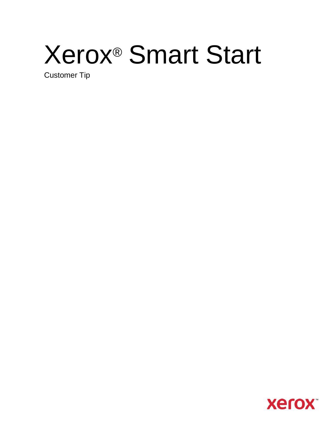# Xerox® Smart Start

Customer Tip

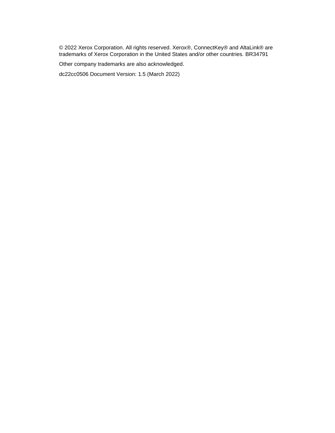© 2022 Xerox Corporation. All rights reserved. Xerox®, ConnectKey® and AltaLink® are trademarks of Xerox Corporation in the United States and/or other countries. BR34791

Other company trademarks are also acknowledged.

dc22cc0506 Document Version: 1.5 (March 2022)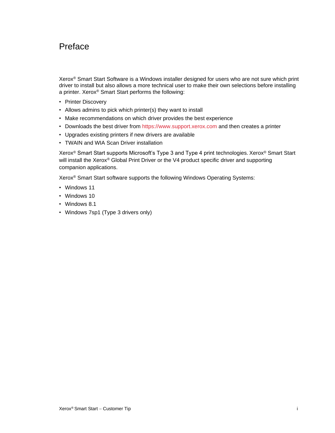# <span id="page-2-0"></span>Preface

Xerox® Smart Start Software is a Windows installer designed for users who are not sure which print driver to install but also allows a more technical user to make their own selections before installing a printer. Xerox® Smart Start performs the following:

- Printer Discovery
- Allows admins to pick which printer(s) they want to install
- Make recommendations on which driver provides the best experience
- Downloads the best driver from [https://www.support.xerox.com](https://www.support.xerox.com/) and then creates a printer
- Upgrades existing printers if new drivers are available
- TWAIN and WIA Scan Driver installation

Xerox® Smart Start supports Microsoft's Type 3 and Type 4 print technologies. Xerox® Smart Start will install the Xerox® Global Print Driver or the V4 product specific driver and supporting companion applications.

Xerox® Smart Start software supports the following Windows Operating Systems:

- Windows 11
- Windows 10
- Windows 8.1
- Windows 7sp1 (Type 3 drivers only)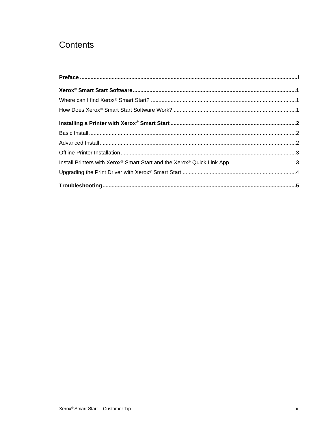# Contents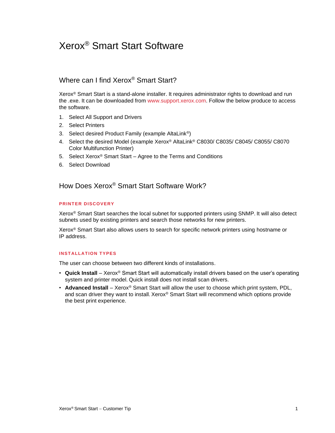# <span id="page-4-0"></span>Xerox® Smart Start Software

## <span id="page-4-1"></span>Where can I find Xerox® Smart Start?

Xerox® Smart Start is a stand-alone installer. It requires administrator rights to download and run the .exe. It can be downloaded from [www.support.xerox.com.](http://www.support.xerox.com/) Follow the below produce to access the software.

- 1. Select All Support and Drivers
- 2. Select Printers
- 3. Select desired Product Family (example AltaLink®)
- 4. Select the desired Model (example Xerox® AltaLink® C8030/ C8035/ C8045/ C8055/ C8070 Color Multifunction Printer)
- 5. Select Xerox® Smart Start Agree to the Terms and Conditions
- <span id="page-4-2"></span>6. Select Download

How Does Xerox® Smart Start Software Work?

#### **PRINTER DISCOVERY**

Xerox® Smart Start searches the local subnet for supported printers using SNMP. It will also detect subnets used by existing printers and search those networks for new printers.

Xerox® Smart Start also allows users to search for specific network printers using hostname or IP address.

#### **INSTALLATION TYPES**

The user can choose between two different kinds of installations.

- **Quick Install** Xerox® Smart Start will automatically install drivers based on the user's operating system and printer model. Quick install does not install scan drivers.
- **Advanced Install** Xerox® Smart Start will allow the user to choose which print system, PDL, and scan driver they want to install. Xerox® Smart Start will recommend which options provide the best print experience.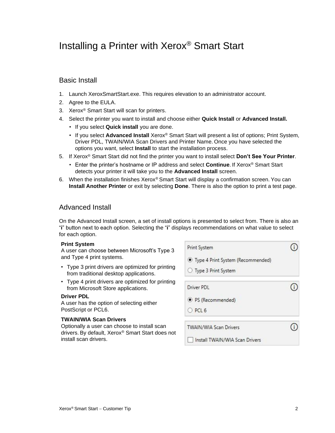# <span id="page-5-0"></span>Installing a Printer with Xerox® Smart Start

## <span id="page-5-1"></span>Basic Install

- 1. Launch XeroxSmartStart.exe. This requires elevation to an administrator account.
- 2. Agree to the EULA.
- 3. Xerox® Smart Start will scan for printers.
- 4. Select the printer you want to install and choose either **Quick Install** or **Advanced Install.**
	- If you select **Quick install** you are done.
	- If you select **Advanced Install** Xerox® Smart Start will present a list of options; Print System, Driver PDL, TWAIN/WIA Scan Drivers and Printer Name. Once you have selected the options you want, select **Install** to start the installation process.
- 5. If Xerox® Smart Start did not find the printer you want to install select **Don't See Your Printer**.
	- Enter the printer's hostname or IP address and select **Continue**. If Xerox® Smart Start detects your printer it will take you to the **Advanced Install** screen.
- 6. When the installation finishes Xerox® Smart Start will display a confirmation screen. You can **Install Another Printer** or exit by selecting **Done**. There is also the option to print a test page.

## <span id="page-5-2"></span>Advanced Install

On the Advanced Install screen, a set of install options is presented to select from. There is also an "**i**" button next to each option. Selecting the "**i**" displays recommendations on what value to select for each option.

#### **Print System**

A user can choose between Microsoft's Type 3 and Type 4 print systems.

- Type 3 print drivers are optimized for printing from traditional desktop applications.
- Type 4 print drivers are optimized for printing from Microsoft Store applications.

#### **Driver PDL**

A user has the option of selecting either PostScript or PCL6.

#### **TWAIN/WIA Scan Drivers**

Optionally a user can choose to install scan drivers. By default, Xerox® Smart Start does not install scan drivers.

| Print System                        |  |
|-------------------------------------|--|
| · Type 4 Print System (Recommended) |  |
| ○ Type 3 Print System               |  |
| Driver PDI                          |  |
| <sup>O</sup> PS (Recommended)       |  |
| $O$ PCL 6                           |  |
| <b>TWAIN/WIA Scan Drivers</b>       |  |
| Install TWAIN/WIA Scan Drivers      |  |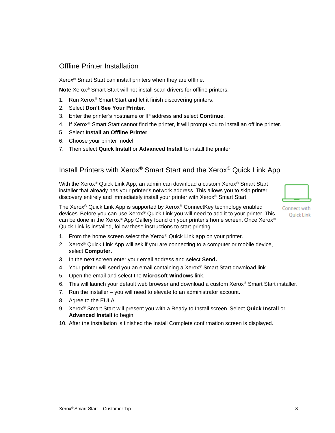## <span id="page-6-0"></span>Offline Printer Installation

Xerox® Smart Start can install printers when they are offline.

**Note** Xerox® Smart Start will not install scan drivers for offline printers.

- 1. Run Xerox® Smart Start and let it finish discovering printers.
- 2. Select **Don't See Your Printer**.
- 3. Enter the printer's hostname or IP address and select **Continue**.
- 4. If Xerox<sup>®</sup> Smart Start cannot find the printer, it will prompt you to install an offline printer.
- 5. Select **Install an Offline Printer**.
- 6. Choose your printer model.
- <span id="page-6-1"></span>7. Then select **Quick Install** or **Advanced Install** to install the printer.

## Install Printers with Xerox® Smart Start and the Xerox® Quick Link App

With the Xerox® Quick Link App, an admin can download a custom Xerox® Smart Start installer that already has your printer's network address. This allows you to skip printer discovery entirely and immediately install your printer with Xerox® Smart Start.



Connect with **Ouick Link** 

The Xerox<sup>®</sup> Quick Link App is supported by Xerox<sup>®</sup> ConnectKey technology enabled devices. Before you can use Xerox® Quick Link you will need to add it to your printer. This can be done in the Xerox® App Gallery found on your printer's home screen. Once Xerox® Quick Link is installed, follow these instructions to start printing.

- 1. From the home screen select the Xerox<sup>®</sup> Quick Link app on your printer.
- 2. Xerox<sup>®</sup> Quick Link App will ask if you are connecting to a computer or mobile device, select **Computer.**
- 3. In the next screen enter your email address and select **Send.**
- 4. Your printer will send you an email containing a Xerox<sup>®</sup> Smart Start download link.
- 5. Open the email and select the **Microsoft Windows** link.
- 6. This will launch your default web browser and download a custom Xerox® Smart Start installer.
- 7. Run the installer you will need to elevate to an administrator account.
- 8. Agree to the EULA.
- 9. Xerox® Smart Start will present you with a Ready to Install screen. Select **Quick Install** or **Advanced Install** to begin.
- 10. After the installation is finished the Install Complete confirmation screen is displayed.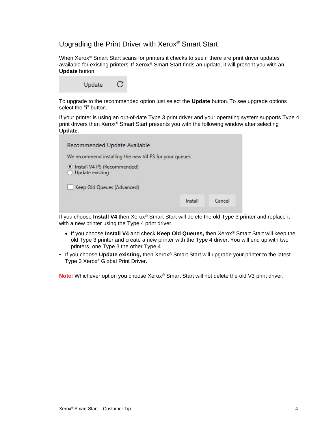## <span id="page-7-0"></span>Upgrading the Print Driver with Xerox® Smart Start

When Xerox<sup>®</sup> Smart Start scans for printers it checks to see if there are print driver updates available for existing printers. If Xerox® Smart Start finds an update, it will present you with an **Update** button.

| Update | $\mathbf C$ |
|--------|-------------|
|--------|-------------|

To upgrade to the recommended option just select the **Update** button. To see upgrade options select the "**i**" button.

If your printer is using an out-of-date Type 3 print driver and your operating system supports Type 4 print drivers then Xerox® Smart Start presents you with the following window after selecting **Update**.

| Recommended Update Available                                           |         |        |
|------------------------------------------------------------------------|---------|--------|
| We recommend installing the new V4 PS for your queues                  |         |        |
| · Install V4 PS (Recommended)<br>Update existing<br>$\left( \ \right)$ |         |        |
| Keep Old Queues (Advanced)                                             |         |        |
|                                                                        | Install | Cancel |

If you choose **Install V4** then Xerox® Smart Start will delete the old Type 3 printer and replace it with a new printer using the Type 4 print driver.

- If you choose **Install V4** and check **Keep Old Queues,** then Xerox® Smart Start will keep the old Type 3 printer and create a new printer with the Type 4 driver. You will end up with two printers, one Type 3 the other Type 4.
- If you choose **Update existing,** then Xerox® Smart Start will upgrade your printer to the latest Type 3 Xerox® Global Print Driver.

**Note:** Whichever option you choose Xerox® Smart Start will not delete the old V3 print driver.